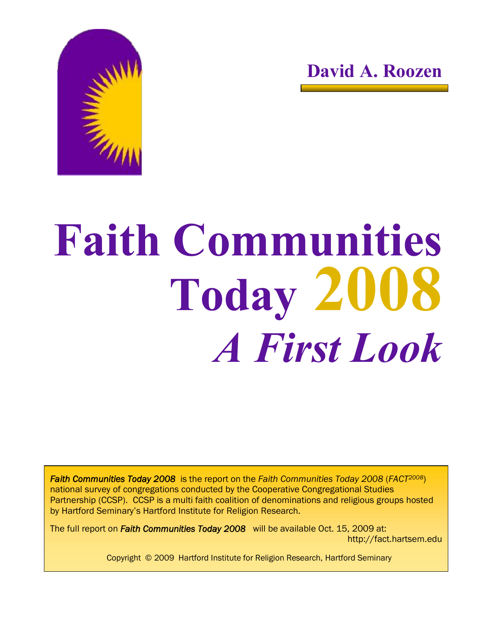



# **Faith Communities Today 2008** *A First Look*

*Faith Communities Today 2008* is the report on the *Faith Communities Today 2008* (*FACT2008*) national survey of congregations conducted by the Cooperative Congregational Studies Partnership (CCSP). CCSP is a multi faith coalition of denominations and religious groups hosted by Hartford Seminary's Hartford Institute for Religion Research.

The full report on *Faith Communities Today 2008* will be available Oct. 15, 2009 at: http://fact.hartsem.edu

Copyright © 2009 Hartford Institute for Religion Research, Hartford Seminary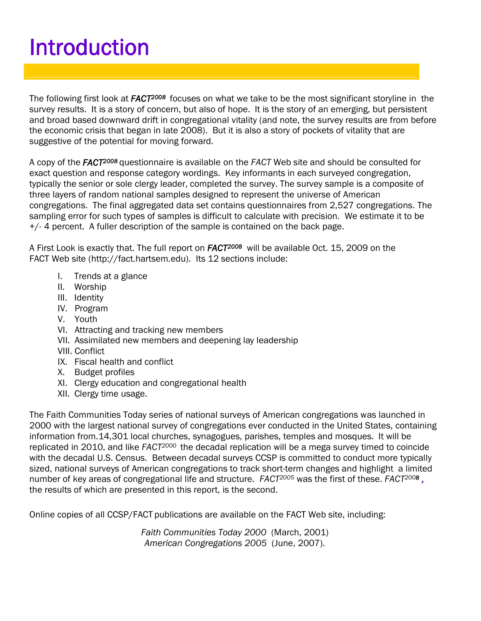# Introduction

The following first look at *FACT<sup>2008</sup>* focuses on what we take to be the most significant storyline in the survey results. It is a story of concern, but also of hope. It is the story of an emerging, but persistent and broad based downward drift in congregational vitality (and note, the survey results are from before the economic crisis that began in late 2008). But it is also a story of pockets of vitality that are suggestive of the potential for moving forward.

A copy of the *FACT <sup>2008</sup>* questionnaire is available on the *FACT* Web site and should be consulted for exact question and response category wordings. Key informants in each surveyed congregation, typically the senior or sole clergy leader, completed the survey. The survey sample is a composite of three layers of random national samples designed to represent the universe of American congregations. The final aggregated data set contains questionnaires from 2,527 congregations. The sampling error for such types of samples is difficult to calculate with precision. We estimate it to be +/- 4 percent. A fuller description of the sample is contained on the back page.

A First Look is exactly that. The full report on *FACT <sup>2008</sup>* will be available Oct. 15, 2009 on the FACT Web site (http://fact.hartsem.edu). Its 12 sections include:

- I. Trends at a glance
- II. Worship
- III. Identity
- IV. Program
- V. Youth
- VI. Attracting and tracking new members
- VII. Assimilated new members and deepening lay leadership
- VIII. Conflict
- IX. Fiscal health and conflict
- X. Budget profiles
- XI. Clergy education and congregational health
- XII. Clergy time usage.

The Faith Communities Today series of national surveys of American congregations was launched in 2000 with the largest national survey of congregations ever conducted in the United States, containing information from.14,301 local churches, synagogues, parishes, temples and mosques. It will be replicated in 2010, and like *FACT<sup>2000</sup>* the decadal replication will be a mega survey timed to coincide with the decadal U.S. Census. Between decadal surveys CCSP is committed to conduct more typically sized, national surveys of American congregations to track short-term changes and highlight a limited number of key areas of congregational life and structure. *FACT<sup>2005</sup>* was the first of these. *FACT2008 ,* the results of which are presented in this report, is the second.

Online copies of all CCSP/FACT publications are available on the FACT Web site, including:

*Faith Communities Today 2000* (March, 2001) *American Congregations 2005* (June, 2007).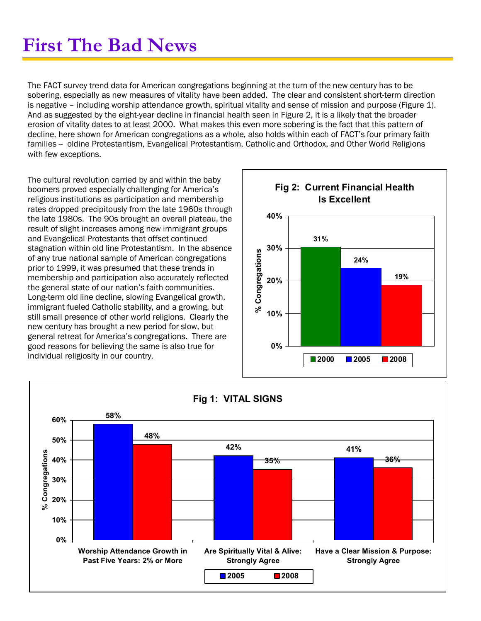## **First The Bad News**

The FACT survey trend data for American congregations beginning at the turn of the new century has to be sobering, especially as new measures of vitality have been added. The clear and consistent short-term direction is negative – including worship attendance growth, spiritual vitality and sense of mission and purpose (Figure 1). And as suggested by the eight-year decline in financial health seen in Figure 2, it is a likely that the broader erosion of vitality dates to at least 2000. What makes this even more sobering is the fact that this pattern of decline, here shown for American congregations as a whole, also holds within each of FACT's four primary faith families - oldine Protestantism, Evangelical Protestantism, Catholic and Orthodox, and Other World Religions with few exceptions.

The cultural revolution carried by and within the baby boomers proved especially challenging for America's religious institutions as participation and membership rates dropped precipitously from the late 1960s through the late 1980s. The 90s brought an overall plateau, the result of slight increases among new immigrant groups and Evangelical Protestants that offset continued stagnation within old line Protestantism. In the absence of any true national sample of American congregations prior to 1999, it was presumed that these trends in membership and participation also accurately reflected the general state of our nation's faith communities. Long-term old line decline, slowing Evangelical growth, immigrant fueled Catholic stability, and a growing, but still small presence of other world religions. Clearly the new century has brought a new period for slow, but general retreat for America's congregations. There are good reasons for believing the same is also true for individual religiosity in our country.



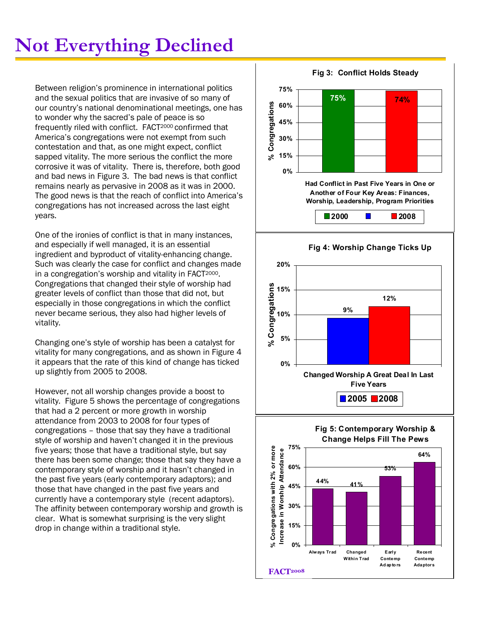# **Not Everything Declined**

Between religion's prominence in international politics and the sexual politics that are invasive of so many of our country's national denominational meetings, one has to wonder why the sacred's pale of peace is so frequently riled with conflict. FACT2000 confirmed that America's congregations were not exempt from such contestation and that, as one might expect, conflict sapped vitality. The more serious the conflict the more corrosive it was of vitality. There is, therefore, both good and bad news in Figure 3. The bad news is that conflict remains nearly as pervasive in 2008 as it was in 2000. The good news is that the reach of conflict into America's congregations has not increased across the last eight years.

One of the ironies of conflict is that in many instances, and especially if well managed, it is an essential ingredient and byproduct of vitality-enhancing change. Such was clearly the case for conflict and changes made in a congregation's worship and vitality in FACT2000. Congregations that changed their style of worship had greater levels of conflict than those that did not, but especially in those congregations in which the conflict never became serious, they also had higher levels of vitality.

Changing one's style of worship has been a catalyst for vitality for many congregations, and as shown in Figure 4 it appears that the rate of this kind of change has ticked up slightly from 2005 to 2008.

However, not all worship changes provide a boost to vitality. Figure 5 shows the percentage of congregations that had a 2 percent or more growth in worship attendance from 2003 to 2008 for four types of congregations – those that say they have a traditional style of worship and haven't changed it in the previous five years; those that have a traditional style, but say there has been some change; those that say they have a contemporary style of worship and it hasn't changed in the past five years (early contemporary adaptors); and those that have changed in the past five years and currently have a contemporary style (recent adaptors). The affinity between contemporary worship and growth is clear. What is somewhat surprising is the very slight drop in change within a traditional style.

**Fig 3: Conflict Holds Steady 75% 74% 0% 15% 30% 45% 60% 75% Had Conflict in Past Five Years in One or Another of Four Key Areas: Finances, Worship, Leadership, Program Priorities %Congregations 2000 2008 Fig 4: Worship Change Ticks Up 9% 12% 0% 5% 10% gre 15% 20% Changed Worship A Great Deal In Last Five Years %Congatio** <u>ຕ</u>້ 15 **2005 2008 Fig 5: Contemporary Worship & Change Helps Fill The Pews 44% 41% 53% 64% 0% 15% 30% 45% 60% 75% Always Trad Changed Within Trad Early Contemp Ad ap to rs Recent Contemp Adaptors %Congregations with 2 % or more Increase in Worship At endance FACT 2008**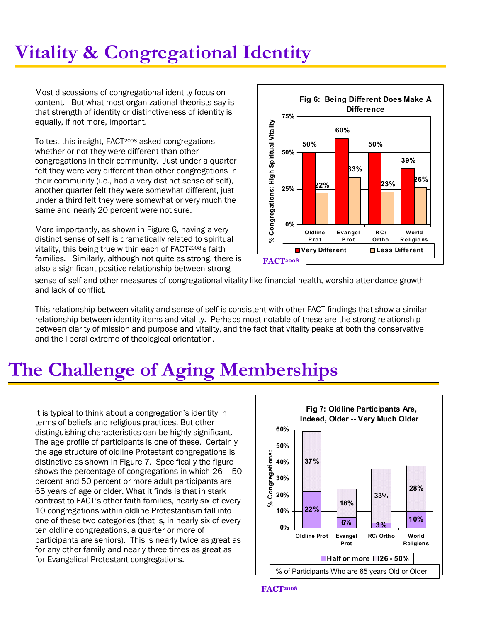# **Vitality & Congregational Identity**

Most discussions of congregational identity focus on content. But what most organizational theorists say is that strength of identity or distinctiveness of identity is equally, if not more, important.

To test this insight, FACT<sup>2008</sup> asked congregations whether or not they were different than other congregations in their community. Just under a quarter felt they were very different than other congregations in their community (i.e., had a very distinct sense of self), another quarter felt they were somewhat different, just under a third felt they were somewhat or very much the same and nearly 20 percent were not sure.

More importantly, as shown in Figure 6, having a very distinct sense of self is dramatically related to spiritual vitality, this being true within each of FACT<sup>2008'</sup>s faith families. Similarly, although not quite as strong, there is also a significant positive relationship between strong



sense of self and other measures of congregational vitality like financial health, worship attendance growth and lack of conflict.

This relationship between vitality and sense of self is consistent with other FACT findings that show a similar relationship between identity items and vitality. Perhaps most notable of these are the strong relationship between clarity of mission and purpose and vitality, and the fact that vitality peaks at both the conservative and the liberal extreme of theological orientation.

# **The Challenge of Aging Memberships**

It is typical to think about a congregation's identity in terms of beliefs and religious practices. But other distinguishing characteristics can be highly significant. The age profile of participants is one of these. Certainly the age structure of oldline Protestant congregations is distinctive as shown in Figure 7. Specifically the figure shows the percentage of congregations in which 26 – 50 percent and 50 percent or more adult participants are 65 years of age or older. What it finds is that in stark contrast to FACT's other faith families, nearly six of every 10 congregations within oldline Protestantism fall into one of these two categories (that is, in nearly six of every ten oldline congregations, a quarter or more of participants are seniors). This is nearly twice as great as for any other family and nearly three times as great as for Evangelical Protestant congregations.

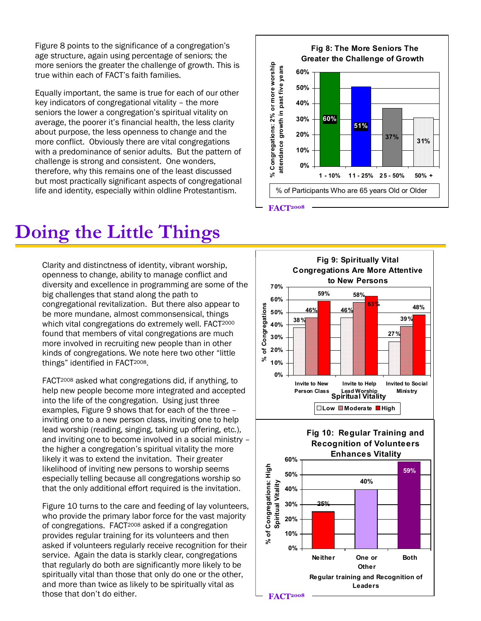Figure 8 points to the significance of a congregation's age structure, again using percentage of seniors; the more seniors the greater the challenge of growth. This is true within each of FACT's faith families.

Equally important, the same is true for each of our other key indicators of congregational vitality – the more seniors the lower a congregation's spiritual vitality on average, the poorer it's financial health, the less clarity about purpose, the less openness to change and the more conflict. Obviously there are vital congregations with a predominance of senior adults. But the pattern of challenge is strong and consistent. One wonders, therefore, why this remains one of the least discussed but most practically significant aspects of congregational life and identity, especially within oldline Protestantism.  $\|\cdot\|$  % of Participants Who are 65 years Old or Older

#### **Fig 8: The More Seniors The Greater the Challenge of Growth 60% 51% 31% 37% 0% 10% 20% 30% 40% 50% 60%**  % Congregations: 2% or more worship **1 10% 11 25% 25 50% 50% + Congregations: 2 % or more worship attendance growth in past five years FACT 2008**

## **Doing the Little Things**

Clarity and distinctness of identity, vibrant worship, openness to change, ability to manage conflict and diversity and excellence in programming are some of the big challenges that stand along the path to congregational revitalization. But there also appear to be more mundane, almost commonsensical, things which vital congregations do extremely well. FACT2000 found that members of vital congregations are much more involved in recruiting new people than in other kinds of congregations. We note here two other "little things" identified in FACT<sup>2008</sup>.

FACT2008 asked what congregations did, if anything, to help new people become more integrated and accepted into the life of the congregation. Using just three examples, Figure 9 shows that for each of the three – inviting one to a new person class, inviting one to help lead worship (reading, singing, taking up offering, etc.), and inviting one to become involved in a social ministry – the higher a congregation's spiritual vitality the more likely it was to extend the invitation. Their greater likelihood of inviting new persons to worship seems especially telling because all congregations worship so that the only additional effort required is the invitation.

Figure 10 turns to the care and feeding of lay volunteers, who provide the primary labor force for the vast majority of congregations. FACT2008 asked if a congregation provides regular training for its volunteers and then asked if volunteers regularly receive recognition for their service. Again the data is starkly clear, congregations that regularly do both are significantly more likely to be spiritually vital than those that only do one or the other, and more than twice as likely to be spiritually vital as those that don't do either. **FACT**<sup>2008</sup>

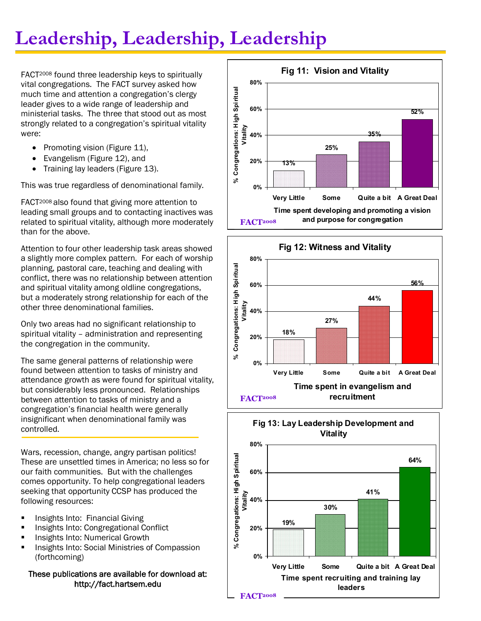# **Leadership, Leadership, Leadership**

FACT2008 found three leadership keys to spiritually vital congregations. The FACT survey asked how much time and attention a congregation's clergy leader gives to a wide range of leadership and ministerial tasks. The three that stood out as most strongly related to a congregation's spiritual vitality were:

- Promoting vision (Figure 11),
- Evangelism (Figure 12), and
- · Training lay leaders (Figure 13).

This was true regardless of denominational family.

FACT2008 also found that giving more attention to leading small groups and to contacting inactives was related to spiritual vitality, although more moderately than for the above.

Attention to four other leadership task areas showed a slightly more complex pattern. For each of worship planning, pastoral care, teaching and dealing with conflict, there was no relationship between attention and spiritual vitality among oldline congregations, but a moderately strong relationship for each of the other three denominational families.

Only two areas had no significant relationship to spiritual vitality – administration and representing the congregation in the community.

The same general patterns of relationship were found between attention to tasks of ministry and attendance growth as were found for spiritual vitality, but considerably less pronounced. Relationships between attention to tasks of ministry and a congregation's financial health were generally insignificant when denominational family was controlled.

Wars, recession, change, angry partisan politics! These are unsettled times in America; no less so for our faith communities. But with the challenges comes opportunity. To help congregational leaders seeking that opportunity CCSP has produced the following resources:

- **Insights Into: Financial Giving**
- **Insights Into: Congregational Conflict**
- **Insights Into: Numerical Growth**
- **Insights Into: Social Ministries of Compassion** (forthcoming)

### These publications are available for download at: http://fact.hartsem.edu